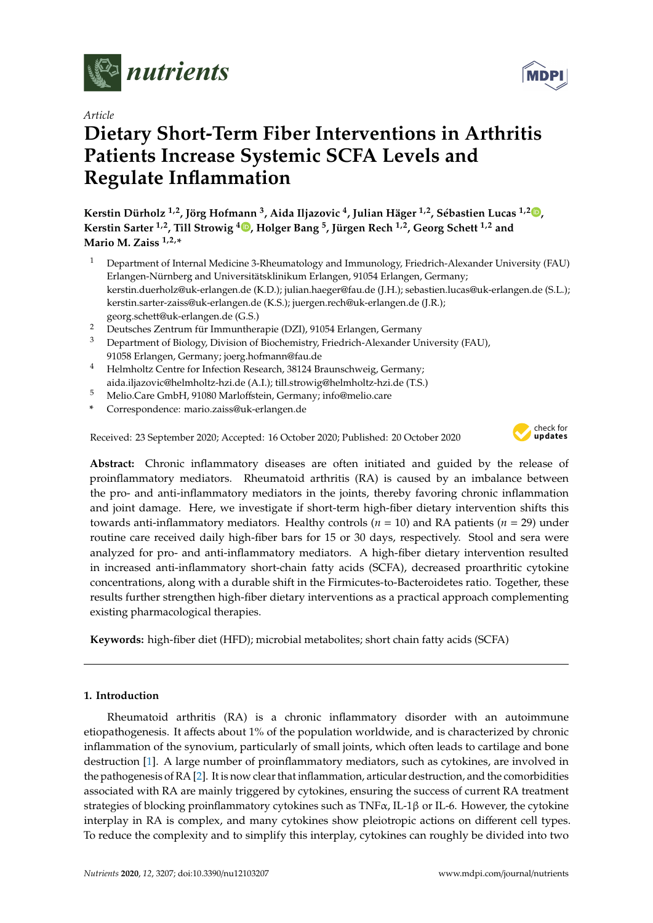

*Article*

# **Dietary Short-Term Fiber Interventions in Arthritis Patients Increase Systemic SCFA Levels and Regulate Inflammation**

**Kerstin Dürholz 1,2, Jörg Hofmann <sup>3</sup> , Aida Iljazovic <sup>4</sup> , Julian Häger 1,2, Sébastien Lucas 1,[2](https://orcid.org/0000-0001-5722-9621) , Kerstin Sarter 1,2, Till Strowig <sup>4</sup> [,](https://orcid.org/0000-0003-0185-1459) Holger Bang <sup>5</sup> , Jürgen Rech 1,2, Georg Schett 1,2 and Mario M. Zaiss 1,2,\***

- <sup>1</sup> Department of Internal Medicine 3-Rheumatology and Immunology, Friedrich-Alexander University (FAU) Erlangen-Nürnberg and Universitätsklinikum Erlangen, 91054 Erlangen, Germany; kerstin.duerholz@uk-erlangen.de (K.D.); julian.haeger@fau.de (J.H.); sebastien.lucas@uk-erlangen.de (S.L.); kerstin.sarter-zaiss@uk-erlangen.de (K.S.); juergen.rech@uk-erlangen.de (J.R.); georg.schett@uk-erlangen.de (G.S.)
- <sup>2</sup> Deutsches Zentrum für Immuntherapie (DZI), 91054 Erlangen, Germany
- <sup>3</sup> Department of Biology, Division of Biochemistry, Friedrich-Alexander University (FAU), 91058 Erlangen, Germany; joerg.hofmann@fau.de
- <sup>4</sup> Helmholtz Centre for Infection Research, 38124 Braunschweig, Germany; aida.iljazovic@helmholtz-hzi.de (A.I.); till.strowig@helmholtz-hzi.de (T.S.)
- <sup>5</sup> Melio.Care GmbH, 91080 Marloffstein, Germany; info@melio.care
- **\*** Correspondence: mario.zaiss@uk-erlangen.de

Received: 23 September 2020; Accepted: 16 October 2020; Published: 20 October 2020



**Abstract:** Chronic inflammatory diseases are often initiated and guided by the release of proinflammatory mediators. Rheumatoid arthritis (RA) is caused by an imbalance between the pro- and anti-inflammatory mediators in the joints, thereby favoring chronic inflammation and joint damage. Here, we investigate if short-term high-fiber dietary intervention shifts this towards anti-inflammatory mediators. Healthy controls (*n* = 10) and RA patients (*n* = 29) under routine care received daily high-fiber bars for 15 or 30 days, respectively. Stool and sera were analyzed for pro- and anti-inflammatory mediators. A high-fiber dietary intervention resulted in increased anti-inflammatory short-chain fatty acids (SCFA), decreased proarthritic cytokine concentrations, along with a durable shift in the Firmicutes-to-Bacteroidetes ratio. Together, these results further strengthen high-fiber dietary interventions as a practical approach complementing existing pharmacological therapies.

**Keywords:** high-fiber diet (HFD); microbial metabolites; short chain fatty acids (SCFA)

# **1. Introduction**

Rheumatoid arthritis (RA) is a chronic inflammatory disorder with an autoimmune etiopathogenesis. It affects about 1% of the population worldwide, and is characterized by chronic inflammation of the synovium, particularly of small joints, which often leads to cartilage and bone destruction [\[1\]](#page-7-0). A large number of proinflammatory mediators, such as cytokines, are involved in the pathogenesis of RA [\[2\]](#page-7-1). It is now clear that inflammation, articular destruction, and the comorbidities associated with RA are mainly triggered by cytokines, ensuring the success of current RA treatment strategies of blocking proinflammatory cytokines such as TNF $\alpha$ , IL-1 $\beta$  or IL-6. However, the cytokine interplay in RA is complex, and many cytokines show pleiotropic actions on different cell types. To reduce the complexity and to simplify this interplay, cytokines can roughly be divided into two

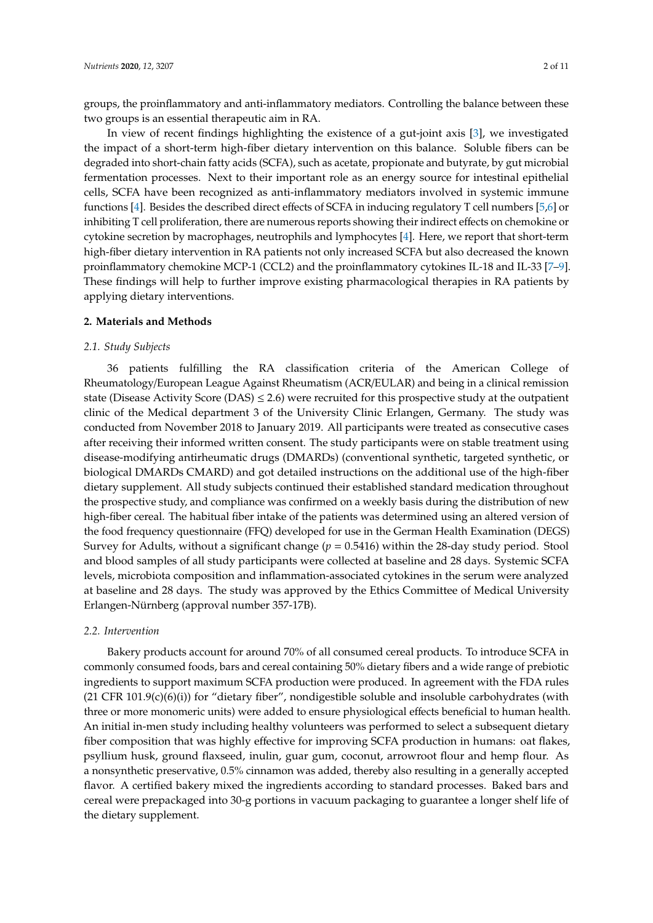groups, the proinflammatory and anti-inflammatory mediators. Controlling the balance between these two groups is an essential therapeutic aim in RA.

In view of recent findings highlighting the existence of a gut-joint axis [\[3\]](#page-7-2), we investigated the impact of a short-term high-fiber dietary intervention on this balance. Soluble fibers can be degraded into short-chain fatty acids (SCFA), such as acetate, propionate and butyrate, by gut microbial fermentation processes. Next to their important role as an energy source for intestinal epithelial cells, SCFA have been recognized as anti-inflammatory mediators involved in systemic immune functions [\[4\]](#page-7-3). Besides the described direct effects of SCFA in inducing regulatory T cell numbers [\[5](#page-7-4)[,6\]](#page-7-5) or inhibiting T cell proliferation, there are numerous reports showing their indirect effects on chemokine or cytokine secretion by macrophages, neutrophils and lymphocytes [\[4\]](#page-7-3). Here, we report that short-term high-fiber dietary intervention in RA patients not only increased SCFA but also decreased the known proinflammatory chemokine MCP-1 (CCL2) and the proinflammatory cytokines IL-18 and IL-33 [\[7–](#page-7-6)[9\]](#page-7-7). These findings will help to further improve existing pharmacological therapies in RA patients by applying dietary interventions.

#### **2. Materials and Methods**

#### *2.1. Study Subjects*

36 patients fulfilling the RA classification criteria of the American College of Rheumatology/European League Against Rheumatism (ACR/EULAR) and being in a clinical remission state (Disease Activity Score (DAS)  $\leq$  2.6) were recruited for this prospective study at the outpatient clinic of the Medical department 3 of the University Clinic Erlangen, Germany. The study was conducted from November 2018 to January 2019. All participants were treated as consecutive cases after receiving their informed written consent. The study participants were on stable treatment using disease-modifying antirheumatic drugs (DMARDs) (conventional synthetic, targeted synthetic, or biological DMARDs CMARD) and got detailed instructions on the additional use of the high-fiber dietary supplement. All study subjects continued their established standard medication throughout the prospective study, and compliance was confirmed on a weekly basis during the distribution of new high-fiber cereal. The habitual fiber intake of the patients was determined using an altered version of the food frequency questionnaire (FFQ) developed for use in the German Health Examination (DEGS) Survey for Adults, without a significant change (*p* = 0.5416) within the 28-day study period. Stool and blood samples of all study participants were collected at baseline and 28 days. Systemic SCFA levels, microbiota composition and inflammation-associated cytokines in the serum were analyzed at baseline and 28 days. The study was approved by the Ethics Committee of Medical University Erlangen-Nürnberg (approval number 357-17B).

#### *2.2. Intervention*

Bakery products account for around 70% of all consumed cereal products. To introduce SCFA in commonly consumed foods, bars and cereal containing 50% dietary fibers and a wide range of prebiotic ingredients to support maximum SCFA production were produced. In agreement with the FDA rules  $(21 \text{ CFR } 101.9(c)(6)(i))$  for "dietary fiber", nondigestible soluble and insoluble carbohydrates (with three or more monomeric units) were added to ensure physiological effects beneficial to human health. An initial in-men study including healthy volunteers was performed to select a subsequent dietary fiber composition that was highly effective for improving SCFA production in humans: oat flakes, psyllium husk, ground flaxseed, inulin, guar gum, coconut, arrowroot flour and hemp flour. As a nonsynthetic preservative, 0.5% cinnamon was added, thereby also resulting in a generally accepted flavor. A certified bakery mixed the ingredients according to standard processes. Baked bars and cereal were prepackaged into 30-g portions in vacuum packaging to guarantee a longer shelf life of the dietary supplement.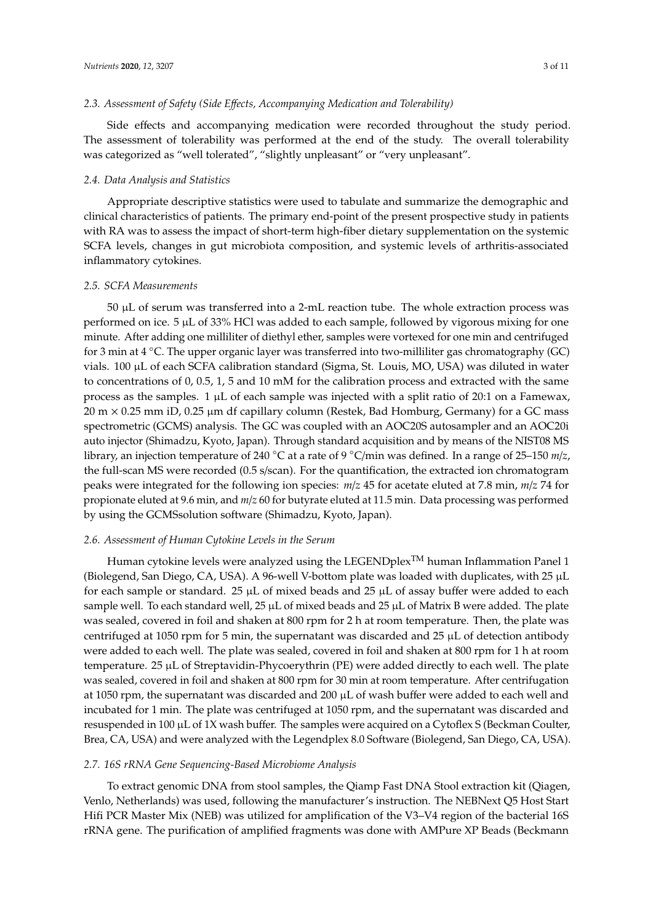#### *2.3. Assessment of Safety (Side E*ff*ects, Accompanying Medication and Tolerability)*

Side effects and accompanying medication were recorded throughout the study period. The assessment of tolerability was performed at the end of the study. The overall tolerability was categorized as "well tolerated", "slightly unpleasant" or "very unpleasant".

#### *2.4. Data Analysis and Statistics*

Appropriate descriptive statistics were used to tabulate and summarize the demographic and clinical characteristics of patients. The primary end-point of the present prospective study in patients with RA was to assess the impact of short-term high-fiber dietary supplementation on the systemic SCFA levels, changes in gut microbiota composition, and systemic levels of arthritis-associated inflammatory cytokines.

#### *2.5. SCFA Measurements*

50 µL of serum was transferred into a 2-mL reaction tube. The whole extraction process was performed on ice. 5  $\mu$ L of 33% HCl was added to each sample, followed by vigorous mixing for one minute. After adding one milliliter of diethyl ether, samples were vortexed for one min and centrifuged for 3 min at 4 ◦C. The upper organic layer was transferred into two-milliliter gas chromatography (GC) vials. 100 µL of each SCFA calibration standard (Sigma, St. Louis, MO, USA) was diluted in water to concentrations of 0, 0.5, 1, 5 and 10 mM for the calibration process and extracted with the same process as the samples. 1 µL of each sample was injected with a split ratio of 20:1 on a Famewax,  $20 \text{ m} \times 0.25 \text{ mm}$  iD, 0.25  $\mu$ m df capillary column (Restek, Bad Homburg, Germany) for a GC mass spectrometric (GCMS) analysis. The GC was coupled with an AOC20S autosampler and an AOC20i auto injector (Shimadzu, Kyoto, Japan). Through standard acquisition and by means of the NIST08 MS library, an injection temperature of 240 ◦C at a rate of 9 ◦C/min was defined. In a range of 25–150 *m*/*z*, the full-scan MS were recorded (0.5 s/scan). For the quantification, the extracted ion chromatogram peaks were integrated for the following ion species: *m*/*z* 45 for acetate eluted at 7.8 min, *m*/*z* 74 for propionate eluted at 9.6 min, and *m*/*z* 60 for butyrate eluted at 11.5 min. Data processing was performed by using the GCMSsolution software (Shimadzu, Kyoto, Japan).

#### *2.6. Assessment of Human Cytokine Levels in the Serum*

Human cytokine levels were analyzed using the LEGENDplex<sup>TM</sup> human Inflammation Panel 1 (Biolegend, San Diego, CA, USA). A 96-well V-bottom plate was loaded with duplicates, with 25 µL for each sample or standard. 25  $\mu$ L of mixed beads and 25  $\mu$ L of assay buffer were added to each sample well. To each standard well,  $25 \mu L$  of mixed beads and  $25 \mu L$  of Matrix B were added. The plate was sealed, covered in foil and shaken at 800 rpm for 2 h at room temperature. Then, the plate was centrifuged at 1050 rpm for 5 min, the supernatant was discarded and  $25 \mu L$  of detection antibody were added to each well. The plate was sealed, covered in foil and shaken at 800 rpm for 1 h at room temperature. 25 µL of Streptavidin-Phycoerythrin (PE) were added directly to each well. The plate was sealed, covered in foil and shaken at 800 rpm for 30 min at room temperature. After centrifugation at 1050 rpm, the supernatant was discarded and 200 µL of wash buffer were added to each well and incubated for 1 min. The plate was centrifuged at 1050 rpm, and the supernatant was discarded and resuspended in 100 µL of 1X wash buffer. The samples were acquired on a Cytoflex S (Beckman Coulter, Brea, CA, USA) and were analyzed with the Legendplex 8.0 Software (Biolegend, San Diego, CA, USA).

#### *2.7. 16S rRNA Gene Sequencing-Based Microbiome Analysis*

To extract genomic DNA from stool samples, the Qiamp Fast DNA Stool extraction kit (Qiagen, Venlo, Netherlands) was used, following the manufacturer's instruction. The NEBNext Q5 Host Start Hifi PCR Master Mix (NEB) was utilized for amplification of the V3–V4 region of the bacterial 16S rRNA gene. The purification of amplified fragments was done with AMPure XP Beads (Beckmann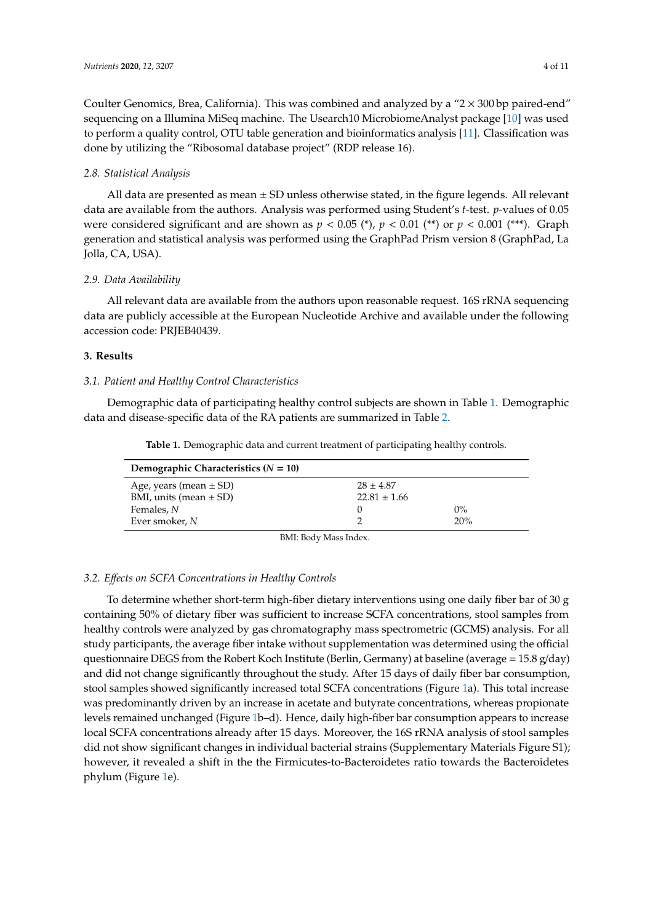Coulter Genomics, Brea, California). This was combined and analyzed by a " $2 \times 300$  bp paired-end" sequencing on a Illumina MiSeq machine. The Usearch10 MicrobiomeAnalyst package [\[10\]](#page-7-8) was used to perform a quality control, OTU table generation and bioinformatics analysis [\[11\]](#page-7-9). Classification was done by utilizing the "Ribosomal database project" (RDP release 16).

#### *2.8. Statistical Analysis*

All data are presented as mean  $\pm$  SD unless otherwise stated, in the figure legends. All relevant data are available from the authors. Analysis was performed using Student's *t*-test. *p*-values of 0.05 were considered significant and are shown as  $p < 0.05$  (\*),  $p < 0.01$  (\*\*) or  $p < 0.001$  (\*\*\*). Graph generation and statistical analysis was performed using the GraphPad Prism version 8 (GraphPad, La Jolla, CA, USA).

#### *2.9. Data Availability*

All relevant data are available from the authors upon reasonable request. 16S rRNA sequencing data are publicly accessible at the European Nucleotide Archive and available under the following accession code: PRJEB40439.

### **3. Results**

#### *3.1. Patient and Healthy Control Characteristics*

<span id="page-3-0"></span>Demographic data of participating healthy control subjects are shown in Table [1.](#page-3-0) Demographic data and disease-specific data of the RA patients are summarized in Table [2.](#page-4-0)

**Table 1.** Demographic data and current treatment of participating healthy controls.

| Demographic Characteristics $(N = 10)$ |                  |       |  |  |
|----------------------------------------|------------------|-------|--|--|
| Age, years (mean $\pm$ SD)             | $28 \pm 4.87$    |       |  |  |
| BMI, units (mean $\pm$ SD)             | $22.81 \pm 1.66$ |       |  |  |
| Females, N                             |                  | $0\%$ |  |  |
| Ever smoker, N                         |                  | 20%   |  |  |
|                                        | _ _ _ _ _ _ _ _  |       |  |  |

BMI: Body Mass Index.

#### *3.2. E*ff*ects on SCFA Concentrations in Healthy Controls*

To determine whether short-term high-fiber dietary interventions using one daily fiber bar of 30 g containing 50% of dietary fiber was sufficient to increase SCFA concentrations, stool samples from healthy controls were analyzed by gas chromatography mass spectrometric (GCMS) analysis. For all study participants, the average fiber intake without supplementation was determined using the official questionnaire DEGS from the Robert Koch Institute (Berlin, Germany) at baseline (average = 15.8 g/day) and did not change significantly throughout the study. After 15 days of daily fiber bar consumption, stool samples showed significantly increased total SCFA concentrations (Figure [1a](#page-4-1)). This total increase was predominantly driven by an increase in acetate and butyrate concentrations, whereas propionate levels remained unchanged (Figure [1b](#page-4-1)–d). Hence, daily high-fiber bar consumption appears to increase local SCFA concentrations already after 15 days. Moreover, the 16S rRNA analysis of stool samples did not show significant changes in individual bacterial strains (Supplementary Materials Figure S1); however, it revealed a shift in the the Firmicutes-to-Bacteroidetes ratio towards the Bacteroidetes phylum (Figure [1e](#page-4-1)).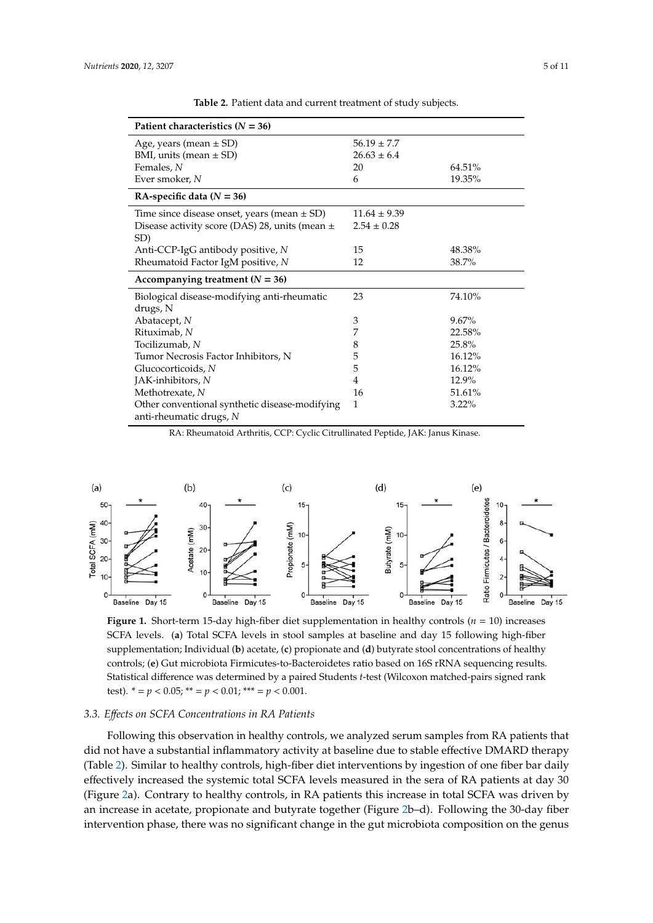<span id="page-4-0"></span>

| Age, years (mean $\pm$ SD)                              | $56.19 \pm 7.7$  |          |
|---------------------------------------------------------|------------------|----------|
| BMI, units (mean $\pm$ SD)                              | $26.63 \pm 6.4$  |          |
| Females, N                                              | 20               | 64.51%   |
| Ever smoker, N                                          | 6                | 19.35%   |
| RA-specific data ( $N = 36$ )                           |                  |          |
| Time since disease onset, years (mean $\pm$ SD)         | $11.64 \pm 9.39$ |          |
| Disease activity score (DAS) 28, units (mean ±<br>SD)   | $2.54 \pm 0.28$  |          |
| Anti-CCP-IgG antibody positive, N                       | 15               | 48.38%   |
| Rheumatoid Factor IgM positive, N                       | 12               | 38.7%    |
| Accompanying treatment ( $N = 36$ )                     |                  |          |
| Biological disease-modifying anti-rheumatic<br>drugs, N | 23               | 74.10%   |
| Abatacept, N                                            | 3                | 9.67%    |
| Rituximab, N                                            | 7                | 22.58%   |
| Tocilizumab, N                                          | 8                | 25.8%    |
| Tumor Necrosis Factor Inhibitors, N                     | 5                | 16.12%   |
| Glucocorticoids, N                                      | 5                | 16.12%   |
| JAK-inhibitors, N                                       | 4                | 12.9%    |
| Methotrexate, N                                         | 16               | 51.61%   |
| Other conventional synthetic disease-modifying          | 1                | $3.22\%$ |

**Table 2.** Patient data and current treatment of study subjects.

RA: Rheumatoid Arthritis, CCP: Cyclic Citrullinated Peptide, JAK: Janus Kinase.

<span id="page-4-1"></span>

SCFA levels. (a) Total SCFA levels in stool samples at baseline and day 15 following high-fiber supplementation; Individual (b) acetate, (c) propionate and (d) butyrate stool concentrations of healthy controls; (e) Gut microbiota Firmicutes-to-Bacteroidetes ratio based on 16S rRNA sequencing results. Statistical difference was determined by a paired Students *t*-test (Wilcoxon matched-pairs signed rank test).  $* = p < 0.05$ ;  $* = p < 0.01$ ;  $* = p < 0.001$ . **Figure 1.** Short-term 15-day high-fiber diet supplementation in healthy controls (*n* = 10) increases

# *3.3. E*ff*ects on SCFA Concentrations in RA Patients*

Following this observation in healthy controls, we analyzed serum samples from RA patients that did not have a substantial inflammatory activity at baseline due to stable effective DMARD therapy (Table 2). Similar to healthy controls, high-fiber diet interventions by ingestion of one fiber bar daily effectively increased the systemic total SCFA levels measured in the sera of RA patients at day 30 (Figure 2a). Contrary to healthy controls, in RA patients this increase in total SCFA was driven by an increase in acetate, propionate and butyrate together (Figure 2b–d). Following the 30-day fiber intervention phase, there was no significant change in the gut microbiota composition on the genus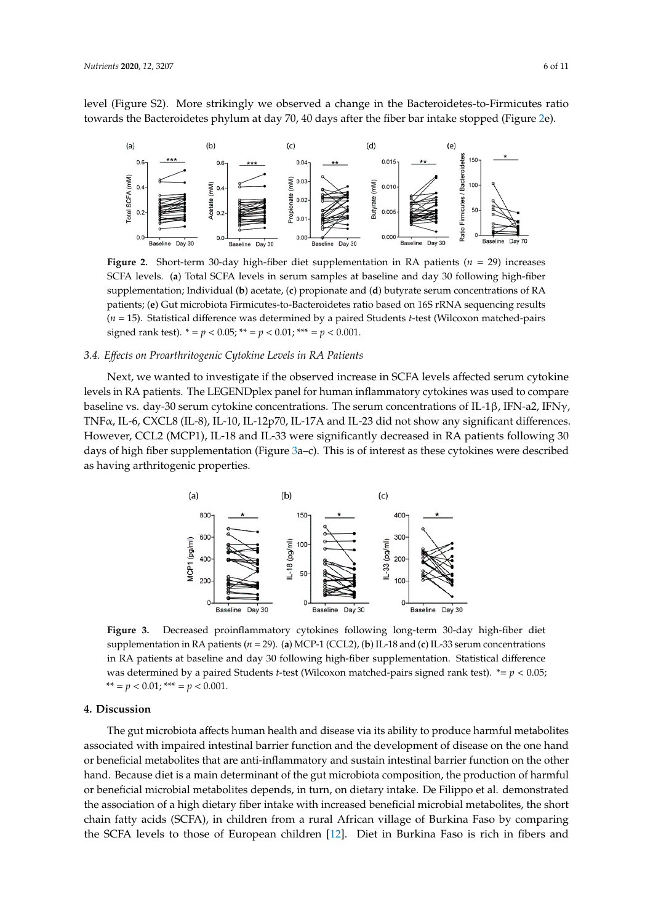level (Figure S2). More strikingly we observed a change in the Bacteroidetes-to-Firmicutes ratio towards the Bacteroidetes phylum at day 70, 40 days after the fiber bar intake stopped (Figure [2e](#page-5-0)). towards the Bacteroidetes phylum at day 70, 40 days after the fiber bar intake stopped (Figure 2e). intervention phase, there was no significant change in the gut microbiota composition on the genus on the genus on the genus on the genus on the genus on the genus on the genus on the genus on the genus on the genus on th level (Figure S2). More strikingly we observed a change in the Bacteroidetes-to-Firmicutes ratio

<span id="page-5-0"></span>

SCFA levels. (**a**) Total SCFA levels in serum samples at baseline and day 30 following high-fiber supplementation; Individual (b) acetate, (c) propionate and (d) butyrate serum concentrations of RA **Figure 2.** Short-term 30-day high-fiber diet supplementation in RA patients  $(n = 29)$  increases patients; (**e**) Gut microbiota Firmicutes-to-Bacteroidetes ratio based on 16S rRNA sequencing results patients; (**e**) Gut microbiota Firmicutes-to-Bacteroidetes ratio based on 16S rRNA sequencing results  $(n = 15)$ . Statistical difference was determined by a paired Students *t*-test (Wilcoxon matched-pairs signed rank test). \* = *p* < 0.05; \*\* = *p* < 0.01; \*\*\* = *p* < 0.001. signed rank test). \* = *p* < 0.05; \*\* = *p* < 0.01; \*\*\* = *p* < 0.001.

# *3.4. E*ff*ects on Proarthritogenic Cytokine Levels in RA Patients 3.4. Effects on Proarthritogenic Cytokine Levels in RA Patients*

Next, we wanted to investigate if the observed increase in SCFA levels affected serum cytokine levels in RA patients. The LEGENDplex panel for human inflammatory cytokines was used to compare baseline vs. day-30 serum cytokine concentrations. The serum concentrations of IL-1β, IFN-a2, IFNγ, onsention of they are baseline cytokine concentrations. The serial concentrations of IL-1<sub>β</sub>, ITV any ITV<sub>1</sub>, ITV<sub>1</sub>, However, CCL2 (MCP1), IL-18 and IL-33 were significantly decreased in RA patients following 30 days of high fiber supplementation (Figure [3a](#page-5-1)–c). This is of interest as these cytokines were described days of high fiber supplementation (Figure 3a–c). This is of interest as these cytokines were described as having arthritogenic properties. were described as having arthritogenic properties.  $f_{\rm s}$  days of high fiber supplementation (Figure 3a–c). This is of interest as these cytokines were accelered

<span id="page-5-1"></span>

supplementation in RA patients ( $n = 29$ ). (a) MCP-1 (CCL2), (b) IL-18 and (c) IL-33 serum concentrations in RA patients at baseline and day 30 following high-fiber supplementation. Statistical difference concentrations in RA patients at baseline and day  $\alpha$  following high-fiber supplementation. Statistical method was determined by a paired Students *t*-test (Wilcoxon matched-pairs signed rank test). \*= *p* < 0.05;<br>\*\* - *n* < 0.01, \*\*\* - *n* < 0.001 *p* < 0.05; \*\* = *p* < 0.01; \*\*\* = *p* < 0.001. \*\* = *p* < 0.01; \*\*\* = *p* < 0.001. **Figure 3.** Decreased proinflammatory cytokines following long-term 30-day high-fiber diet

# **4. Discussion**

**4. Discussion**  associated with impaired intestinal barrier function and the development of disease on the one hand or beneficial metabolites that are anti-inflammatory and sustain intestinal barrier function on the other hand. Because diet is a main determinant of the gut microbiota composition, the production of harmful or beneficial microbial metabolites depends, in turn, on dietary intake. De Filippo et al. demonstrated the association of a high dietary fiber intake with increased beneficial microbial metabolites, the short chain fatty acids (SCFA), in children from a rural African village of Burkina Faso by comparing the [SCF](#page-7-10)A levels to those of European children [12]. Diet in Burkina Faso is rich in fibers and The gut microbiota affects human health and disease via its ability to produce harmful metabolites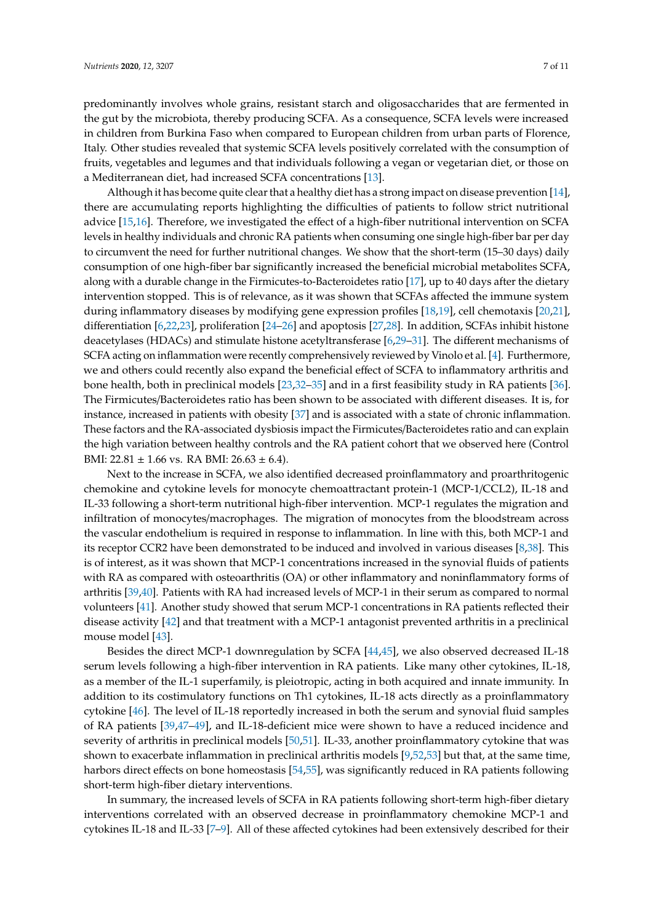predominantly involves whole grains, resistant starch and oligosaccharides that are fermented in the gut by the microbiota, thereby producing SCFA. As a consequence, SCFA levels were increased in children from Burkina Faso when compared to European children from urban parts of Florence, Italy. Other studies revealed that systemic SCFA levels positively correlated with the consumption of fruits, vegetables and legumes and that individuals following a vegan or vegetarian diet, or those on a Mediterranean diet, had increased SCFA concentrations [\[13\]](#page-8-0).

Although it has become quite clear that a healthy diet has a strong impact on disease prevention [\[14\]](#page-8-1), there are accumulating reports highlighting the difficulties of patients to follow strict nutritional advice [\[15](#page-8-2)[,16\]](#page-8-3). Therefore, we investigated the effect of a high-fiber nutritional intervention on SCFA levels in healthy individuals and chronic RA patients when consuming one single high-fiber bar per day to circumvent the need for further nutritional changes. We show that the short-term (15–30 days) daily consumption of one high-fiber bar significantly increased the beneficial microbial metabolites SCFA, along with a durable change in the Firmicutes-to-Bacteroidetes ratio [\[17\]](#page-8-4), up to 40 days after the dietary intervention stopped. This is of relevance, as it was shown that SCFAs affected the immune system during inflammatory diseases by modifying gene expression profiles [\[18](#page-8-5)[,19\]](#page-8-6), cell chemotaxis [\[20,](#page-8-7)[21\]](#page-8-8), differentiation [\[6,](#page-7-5)[22](#page-8-9)[,23\]](#page-8-10), proliferation [\[24](#page-8-11)[–26\]](#page-8-12) and apoptosis [\[27,](#page-8-13)[28\]](#page-8-14). In addition, SCFAs inhibit histone deacetylases (HDACs) and stimulate histone acetyltransferase [\[6,](#page-7-5)[29–](#page-8-15)[31\]](#page-9-0). The different mechanisms of SCFA acting on inflammation were recently comprehensively reviewed by Vinolo et al. [\[4\]](#page-7-3). Furthermore, we and others could recently also expand the beneficial effect of SCFA to inflammatory arthritis and bone health, both in preclinical models [\[23,](#page-8-10)[32](#page-9-1)[–35\]](#page-9-2) and in a first feasibility study in RA patients [\[36\]](#page-9-3). The Firmicutes/Bacteroidetes ratio has been shown to be associated with different diseases. It is, for instance, increased in patients with obesity [\[37\]](#page-9-4) and is associated with a state of chronic inflammation. These factors and the RA-associated dysbiosis impact the Firmicutes/Bacteroidetes ratio and can explain the high variation between healthy controls and the RA patient cohort that we observed here (Control BMI:  $22.81 \pm 1.66$  vs. RA BMI:  $26.63 \pm 6.4$ ).

Next to the increase in SCFA, we also identified decreased proinflammatory and proarthritogenic chemokine and cytokine levels for monocyte chemoattractant protein-1 (MCP-1/CCL2), IL-18 and IL-33 following a short-term nutritional high-fiber intervention. MCP-1 regulates the migration and infiltration of monocytes/macrophages. The migration of monocytes from the bloodstream across the vascular endothelium is required in response to inflammation. In line with this, both MCP-1 and its receptor CCR2 have been demonstrated to be induced and involved in various diseases [\[8](#page-7-11)[,38\]](#page-9-5). This is of interest, as it was shown that MCP-1 concentrations increased in the synovial fluids of patients with RA as compared with osteoarthritis (OA) or other inflammatory and noninflammatory forms of arthritis [\[39,](#page-9-6)[40\]](#page-9-7). Patients with RA had increased levels of MCP-1 in their serum as compared to normal volunteers [\[41\]](#page-9-8). Another study showed that serum MCP-1 concentrations in RA patients reflected their disease activity [\[42\]](#page-9-9) and that treatment with a MCP-1 antagonist prevented arthritis in a preclinical mouse model [\[43\]](#page-9-10).

Besides the direct MCP-1 downregulation by SCFA [\[44](#page-9-11)[,45\]](#page-9-12), we also observed decreased IL-18 serum levels following a high-fiber intervention in RA patients. Like many other cytokines, IL-18, as a member of the IL-1 superfamily, is pleiotropic, acting in both acquired and innate immunity. In addition to its costimulatory functions on Th1 cytokines, IL-18 acts directly as a proinflammatory cytokine [\[46\]](#page-9-13). The level of IL-18 reportedly increased in both the serum and synovial fluid samples of RA patients [\[39,](#page-9-6)[47](#page-9-14)[–49\]](#page-10-0), and IL-18-deficient mice were shown to have a reduced incidence and severity of arthritis in preclinical models [\[50](#page-10-1)[,51\]](#page-10-2). IL-33, another proinflammatory cytokine that was shown to exacerbate inflammation in preclinical arthritis models [\[9,](#page-7-7)[52,](#page-10-3)[53\]](#page-10-4) but that, at the same time, harbors direct effects on bone homeostasis [\[54](#page-10-5)[,55\]](#page-10-6), was significantly reduced in RA patients following short-term high-fiber dietary interventions.

In summary, the increased levels of SCFA in RA patients following short-term high-fiber dietary interventions correlated with an observed decrease in proinflammatory chemokine MCP-1 and cytokines IL-18 and IL-33 [\[7](#page-7-6)[–9\]](#page-7-7). All of these affected cytokines had been extensively described for their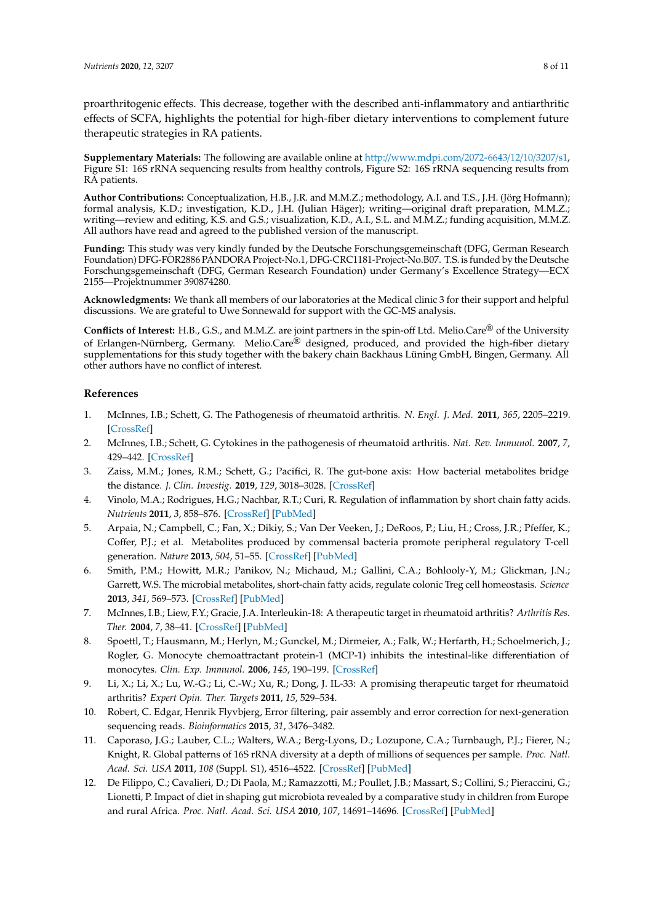**Supplementary Materials:** The following are available online at http://[www.mdpi.com](http://www.mdpi.com/2072-6643/12/10/3207/s1)/2072-6643/12/10/3207/s1, Figure S1: 16S rRNA sequencing results from healthy controls, Figure S2: 16S rRNA sequencing results from RA patients.

**Author Contributions:** Conceptualization, H.B., J.R. and M.M.Z.; methodology, A.I. and T.S., J.H. (Jörg Hofmann); formal analysis, K.D.; investigation, K.D., J.H. (Julian Häger); writing—original draft preparation, M.M.Z.; writing—review and editing, K.S. and G.S.; visualization, K.D., A.I., S.L. and M.M.Z.; funding acquisition, M.M.Z. All authors have read and agreed to the published version of the manuscript.

**Funding:** This study was very kindly funded by the Deutsche Forschungsgemeinschaft (DFG, German Research Foundation) DFG-FOR2886 PANDORA Project-No.1, DFG-CRC1181-Project-No.B07. T.S. is funded by the Deutsche Forschungsgemeinschaft (DFG, German Research Foundation) under Germany's Excellence Strategy—ECX 2155—Projektnummer 390874280.

**Acknowledgments:** We thank all members of our laboratories at the Medical clinic 3 for their support and helpful discussions. We are grateful to Uwe Sonnewald for support with the GC-MS analysis.

**Conflicts of Interest:** H.B., G.S., and M.M.Z. are joint partners in the spin-off Ltd. Melio.Care® of the University of Erlangen-Nürnberg, Germany. Melio.Care® designed, produced, and provided the high-fiber dietary supplementations for this study together with the bakery chain Backhaus Lüning GmbH, Bingen, Germany. All other authors have no conflict of interest.

# **References**

- <span id="page-7-0"></span>1. McInnes, I.B.; Schett, G. The Pathogenesis of rheumatoid arthritis. *N. Engl. J. Med.* **2011**, *365*, 2205–2219. [\[CrossRef\]](http://dx.doi.org/10.1056/NEJMra1004965)
- <span id="page-7-1"></span>2. McInnes, I.B.; Schett, G. Cytokines in the pathogenesis of rheumatoid arthritis. *Nat. Rev. Immunol.* **2007**, *7*, 429–442. [\[CrossRef\]](http://dx.doi.org/10.1038/nri2094)
- <span id="page-7-2"></span>3. Zaiss, M.M.; Jones, R.M.; Schett, G.; Pacifici, R. The gut-bone axis: How bacterial metabolites bridge the distance. *J. Clin. Investig.* **2019**, *129*, 3018–3028. [\[CrossRef\]](http://dx.doi.org/10.1172/JCI128521)
- <span id="page-7-3"></span>4. Vinolo, M.A.; Rodrigues, H.G.; Nachbar, R.T.; Curi, R. Regulation of inflammation by short chain fatty acids. *Nutrients* **2011**, *3*, 858–876. [\[CrossRef\]](http://dx.doi.org/10.3390/nu3100858) [\[PubMed\]](http://www.ncbi.nlm.nih.gov/pubmed/22254083)
- <span id="page-7-4"></span>5. Arpaia, N.; Campbell, C.; Fan, X.; Dikiy, S.; Van Der Veeken, J.; DeRoos, P.; Liu, H.; Cross, J.R.; Pfeffer, K.; Coffer, P.J.; et al. Metabolites produced by commensal bacteria promote peripheral regulatory T-cell generation. *Nature* **2013**, *504*, 51–55. [\[CrossRef\]](http://dx.doi.org/10.1038/nature12726) [\[PubMed\]](http://www.ncbi.nlm.nih.gov/pubmed/24226773)
- <span id="page-7-5"></span>6. Smith, P.M.; Howitt, M.R.; Panikov, N.; Michaud, M.; Gallini, C.A.; Bohlooly-Y, M.; Glickman, J.N.; Garrett, W.S. The microbial metabolites, short-chain fatty acids, regulate colonic Treg cell homeostasis. *Science* **2013**, *341*, 569–573. [\[CrossRef\]](http://dx.doi.org/10.1126/science.1241165) [\[PubMed\]](http://www.ncbi.nlm.nih.gov/pubmed/23828891)
- <span id="page-7-6"></span>7. McInnes, I.B.; Liew, F.Y.; Gracie, J.A. Interleukin-18: A therapeutic target in rheumatoid arthritis? *Arthritis Res. Ther.* **2004**, *7*, 38–41. [\[CrossRef\]](http://dx.doi.org/10.1186/ar1497) [\[PubMed\]](http://www.ncbi.nlm.nih.gov/pubmed/15642152)
- <span id="page-7-11"></span>8. Spoettl, T.; Hausmann, M.; Herlyn, M.; Gunckel, M.; Dirmeier, A.; Falk, W.; Herfarth, H.; Schoelmerich, J.; Rogler, G. Monocyte chemoattractant protein-1 (MCP-1) inhibits the intestinal-like differentiation of monocytes. *Clin. Exp. Immunol.* **2006**, *145*, 190–199. [\[CrossRef\]](http://dx.doi.org/10.1111/j.1365-2249.2006.03113.x)
- <span id="page-7-7"></span>9. Li, X.; Li, X.; Lu, W.-G.; Li, C.-W.; Xu, R.; Dong, J. IL-33: A promising therapeutic target for rheumatoid arthritis? *Expert Opin. Ther. Targets* **2011**, *15*, 529–534.
- <span id="page-7-8"></span>10. Robert, C. Edgar, Henrik Flyvbjerg, Error filtering, pair assembly and error correction for next-generation sequencing reads. *Bioinformatics* **2015**, *31*, 3476–3482.
- <span id="page-7-9"></span>11. Caporaso, J.G.; Lauber, C.L.; Walters, W.A.; Berg-Lyons, D.; Lozupone, C.A.; Turnbaugh, P.J.; Fierer, N.; Knight, R. Global patterns of 16S rRNA diversity at a depth of millions of sequences per sample. *Proc. Natl. Acad. Sci. USA* **2011**, *108* (Suppl. S1), 4516–4522. [\[CrossRef\]](http://dx.doi.org/10.1073/pnas.1000080107) [\[PubMed\]](http://www.ncbi.nlm.nih.gov/pubmed/20534432)
- <span id="page-7-10"></span>12. De Filippo, C.; Cavalieri, D.; Di Paola, M.; Ramazzotti, M.; Poullet, J.B.; Massart, S.; Collini, S.; Pieraccini, G.; Lionetti, P. Impact of diet in shaping gut microbiota revealed by a comparative study in children from Europe and rural Africa. *Proc. Natl. Acad. Sci. USA* **2010**, *107*, 14691–14696. [\[CrossRef\]](http://dx.doi.org/10.1073/pnas.1005963107) [\[PubMed\]](http://www.ncbi.nlm.nih.gov/pubmed/20679230)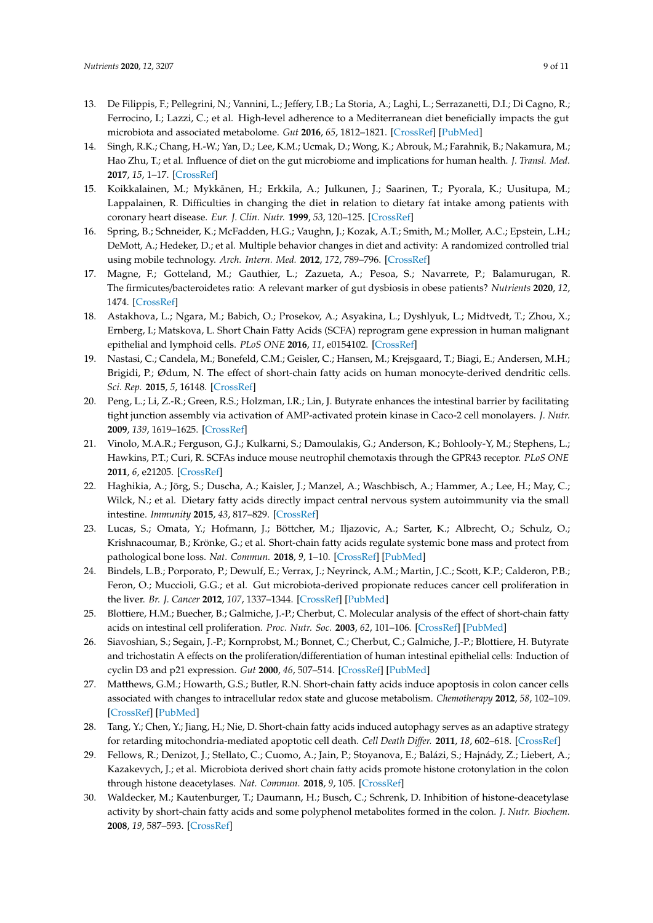- <span id="page-8-0"></span>13. De Filippis, F.; Pellegrini, N.; Vannini, L.; Jeffery, I.B.; La Storia, A.; Laghi, L.; Serrazanetti, D.I.; Di Cagno, R.; Ferrocino, I.; Lazzi, C.; et al. High-level adherence to a Mediterranean diet beneficially impacts the gut microbiota and associated metabolome. *Gut* **2016**, *65*, 1812–1821. [\[CrossRef\]](http://dx.doi.org/10.1136/gutjnl-2015-309957) [\[PubMed\]](http://www.ncbi.nlm.nih.gov/pubmed/26416813)
- <span id="page-8-1"></span>14. Singh, R.K.; Chang, H.-W.; Yan, D.; Lee, K.M.; Ucmak, D.; Wong, K.; Abrouk, M.; Farahnik, B.; Nakamura, M.; Hao Zhu, T.; et al. Influence of diet on the gut microbiome and implications for human health. *J. Transl. Med.* **2017**, *15*, 1–17. [\[CrossRef\]](http://dx.doi.org/10.1186/s12967-017-1175-y)
- <span id="page-8-2"></span>15. Koikkalainen, M.; Mykkãnen, H.; Erkkila, A.; Julkunen, J.; Saarinen, T.; Pyorala, K.; Uusitupa, M.; Lappalainen, R. Difficulties in changing the diet in relation to dietary fat intake among patients with coronary heart disease. *Eur. J. Clin. Nutr.* **1999**, *53*, 120–125. [\[CrossRef\]](http://dx.doi.org/10.1038/sj.ejcn.1600688)
- <span id="page-8-3"></span>16. Spring, B.; Schneider, K.; McFadden, H.G.; Vaughn, J.; Kozak, A.T.; Smith, M.; Moller, A.C.; Epstein, L.H.; DeMott, A.; Hedeker, D.; et al. Multiple behavior changes in diet and activity: A randomized controlled trial using mobile technology. *Arch. Intern. Med.* **2012**, *172*, 789–796. [\[CrossRef\]](http://dx.doi.org/10.1001/archinternmed.2012.1044)
- <span id="page-8-4"></span>17. Magne, F.; Gotteland, M.; Gauthier, L.; Zazueta, A.; Pesoa, S.; Navarrete, P.; Balamurugan, R. The firmicutes/bacteroidetes ratio: A relevant marker of gut dysbiosis in obese patients? *Nutrients* **2020**, *12*, 1474. [\[CrossRef\]](http://dx.doi.org/10.3390/nu12051474)
- <span id="page-8-5"></span>18. Astakhova, L.; Ngara, M.; Babich, O.; Prosekov, A.; Asyakina, L.; Dyshlyuk, L.; Midtvedt, T.; Zhou, X.; Ernberg, I.; Matskova, L. Short Chain Fatty Acids (SCFA) reprogram gene expression in human malignant epithelial and lymphoid cells. *PLoS ONE* **2016**, *11*, e0154102. [\[CrossRef\]](http://dx.doi.org/10.1371/journal.pone.0154102)
- <span id="page-8-6"></span>19. Nastasi, C.; Candela, M.; Bonefeld, C.M.; Geisler, C.; Hansen, M.; Krejsgaard, T.; Biagi, E.; Andersen, M.H.; Brigidi, P.; Ødum, N. The effect of short-chain fatty acids on human monocyte-derived dendritic cells. *Sci. Rep.* **2015**, *5*, 16148. [\[CrossRef\]](http://dx.doi.org/10.1038/srep16148)
- <span id="page-8-7"></span>20. Peng, L.; Li, Z.-R.; Green, R.S.; Holzman, I.R.; Lin, J. Butyrate enhances the intestinal barrier by facilitating tight junction assembly via activation of AMP-activated protein kinase in Caco-2 cell monolayers. *J. Nutr.* **2009**, *139*, 1619–1625. [\[CrossRef\]](http://dx.doi.org/10.3945/jn.109.104638)
- <span id="page-8-8"></span>21. Vinolo, M.A.R.; Ferguson, G.J.; Kulkarni, S.; Damoulakis, G.; Anderson, K.; Bohlooly-Y, M.; Stephens, L.; Hawkins, P.T.; Curi, R. SCFAs induce mouse neutrophil chemotaxis through the GPR43 receptor. *PLoS ONE* **2011**, *6*, e21205. [\[CrossRef\]](http://dx.doi.org/10.1371/journal.pone.0021205)
- <span id="page-8-9"></span>22. Haghikia, A.; Jörg, S.; Duscha, A.; Kaisler, J.; Manzel, A.; Waschbisch, A.; Hammer, A.; Lee, H.; May, C.; Wilck, N.; et al. Dietary fatty acids directly impact central nervous system autoimmunity via the small intestine. *Immunity* **2015**, *43*, 817–829. [\[CrossRef\]](http://dx.doi.org/10.1016/j.immuni.2015.09.007)
- <span id="page-8-10"></span>23. Lucas, S.; Omata, Y.; Hofmann, J.; Böttcher, M.; Iljazovic, A.; Sarter, K.; Albrecht, O.; Schulz, O.; Krishnacoumar, B.; Krönke, G.; et al. Short-chain fatty acids regulate systemic bone mass and protect from pathological bone loss. *Nat. Commun.* **2018**, *9*, 1–10. [\[CrossRef\]](http://dx.doi.org/10.1038/s41467-017-02490-4) [\[PubMed\]](http://www.ncbi.nlm.nih.gov/pubmed/29302038)
- <span id="page-8-11"></span>24. Bindels, L.B.; Porporato, P.; Dewulf, E.; Verrax, J.; Neyrinck, A.M.; Martin, J.C.; Scott, K.P.; Calderon, P.B.; Feron, O.; Muccioli, G.G.; et al. Gut microbiota-derived propionate reduces cancer cell proliferation in the liver. *Br. J. Cancer* **2012**, *107*, 1337–1344. [\[CrossRef\]](http://dx.doi.org/10.1038/bjc.2012.409) [\[PubMed\]](http://www.ncbi.nlm.nih.gov/pubmed/22976799)
- 25. Blottiere, H.M.; Buecher, B.; Galmiche, J.-P.; Cherbut, C. Molecular analysis of the effect of short-chain fatty acids on intestinal cell proliferation. *Proc. Nutr. Soc.* **2003**, *62*, 101–106. [\[CrossRef\]](http://dx.doi.org/10.1079/PNS2002215) [\[PubMed\]](http://www.ncbi.nlm.nih.gov/pubmed/12740064)
- <span id="page-8-12"></span>26. Siavoshian, S.; Segain, J.-P.; Kornprobst, M.; Bonnet, C.; Cherbut, C.; Galmiche, J.-P.; Blottiere, H. Butyrate and trichostatin A effects on the proliferation/differentiation of human intestinal epithelial cells: Induction of cyclin D3 and p21 expression. *Gut* **2000**, *46*, 507–514. [\[CrossRef\]](http://dx.doi.org/10.1136/gut.46.4.507) [\[PubMed\]](http://www.ncbi.nlm.nih.gov/pubmed/10716680)
- <span id="page-8-13"></span>27. Matthews, G.M.; Howarth, G.S.; Butler, R.N. Short-chain fatty acids induce apoptosis in colon cancer cells associated with changes to intracellular redox state and glucose metabolism. *Chemotherapy* **2012**, *58*, 102–109. [\[CrossRef\]](http://dx.doi.org/10.1159/000335672) [\[PubMed\]](http://www.ncbi.nlm.nih.gov/pubmed/22488147)
- <span id="page-8-14"></span>28. Tang, Y.; Chen, Y.; Jiang, H.; Nie, D. Short-chain fatty acids induced autophagy serves as an adaptive strategy for retarding mitochondria-mediated apoptotic cell death. *Cell Death Di*ff*er.* **2011**, *18*, 602–618. [\[CrossRef\]](http://dx.doi.org/10.1038/cdd.2010.117)
- <span id="page-8-15"></span>29. Fellows, R.; Denizot, J.; Stellato, C.; Cuomo, A.; Jain, P.; Stoyanova, E.; Balázi, S.; Hajnády, Z.; Liebert, A.; Kazakevych, J.; et al. Microbiota derived short chain fatty acids promote histone crotonylation in the colon through histone deacetylases. *Nat. Commun.* **2018**, *9*, 105. [\[CrossRef\]](http://dx.doi.org/10.1038/s41467-017-02651-5)
- 30. Waldecker, M.; Kautenburger, T.; Daumann, H.; Busch, C.; Schrenk, D. Inhibition of histone-deacetylase activity by short-chain fatty acids and some polyphenol metabolites formed in the colon. *J. Nutr. Biochem.* **2008**, *19*, 587–593. [\[CrossRef\]](http://dx.doi.org/10.1016/j.jnutbio.2007.08.002)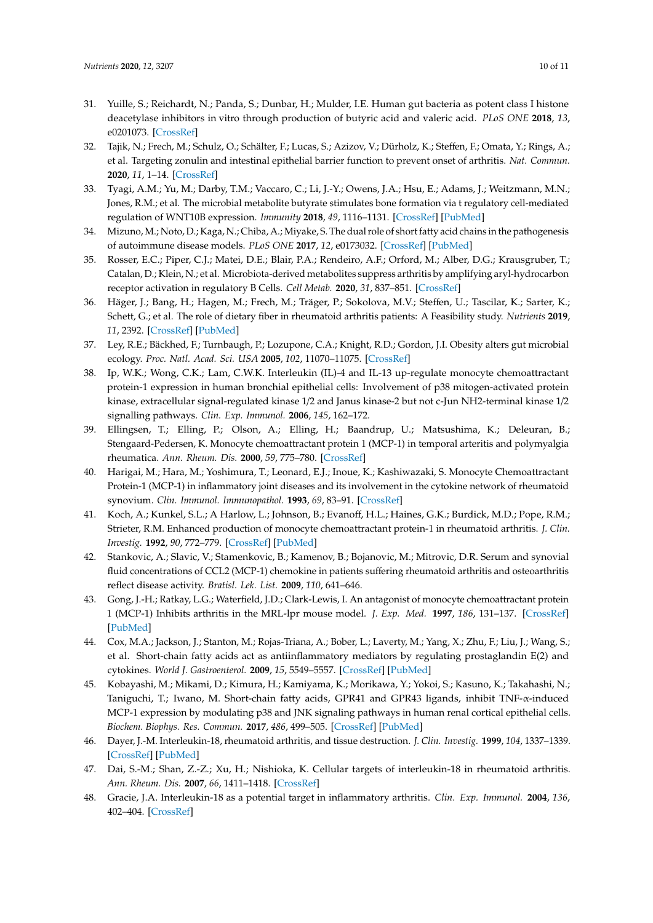- <span id="page-9-0"></span>31. Yuille, S.; Reichardt, N.; Panda, S.; Dunbar, H.; Mulder, I.E. Human gut bacteria as potent class I histone deacetylase inhibitors in vitro through production of butyric acid and valeric acid. *PLoS ONE* **2018**, *13*, e0201073. [\[CrossRef\]](http://dx.doi.org/10.1371/journal.pone.0201073)
- <span id="page-9-1"></span>32. Tajik, N.; Frech, M.; Schulz, O.; Schälter, F.; Lucas, S.; Azizov, V.; Dürholz, K.; Steffen, F.; Omata, Y.; Rings, A.; et al. Targeting zonulin and intestinal epithelial barrier function to prevent onset of arthritis. *Nat. Commun.* **2020**, *11*, 1–14. [\[CrossRef\]](http://dx.doi.org/10.1038/s41467-020-15831-7)
- 33. Tyagi, A.M.; Yu, M.; Darby, T.M.; Vaccaro, C.; Li, J.-Y.; Owens, J.A.; Hsu, E.; Adams, J.; Weitzmann, M.N.; Jones, R.M.; et al. The microbial metabolite butyrate stimulates bone formation via t regulatory cell-mediated regulation of WNT10B expression. *Immunity* **2018**, *49*, 1116–1131. [\[CrossRef\]](http://dx.doi.org/10.1016/j.immuni.2018.10.013) [\[PubMed\]](http://www.ncbi.nlm.nih.gov/pubmed/30446387)
- 34. Mizuno,M.; Noto, D.; Kaga, N.; Chiba, A.; Miyake, S. The dual role of short fatty acid chains in the pathogenesis of autoimmune disease models. *PLoS ONE* **2017**, *12*, e0173032. [\[CrossRef\]](http://dx.doi.org/10.1371/journal.pone.0173032) [\[PubMed\]](http://www.ncbi.nlm.nih.gov/pubmed/28235016)
- <span id="page-9-2"></span>35. Rosser, E.C.; Piper, C.J.; Matei, D.E.; Blair, P.A.; Rendeiro, A.F.; Orford, M.; Alber, D.G.; Krausgruber, T.; Catalan, D.; Klein, N.; et al. Microbiota-derived metabolites suppress arthritis by amplifying aryl-hydrocarbon receptor activation in regulatory B Cells. *Cell Metab.* **2020**, *31*, 837–851. [\[CrossRef\]](http://dx.doi.org/10.1016/j.cmet.2020.03.003)
- <span id="page-9-3"></span>36. Häger, J.; Bang, H.; Hagen, M.; Frech, M.; Träger, P.; Sokolova, M.V.; Steffen, U.; Tascilar, K.; Sarter, K.; Schett, G.; et al. The role of dietary fiber in rheumatoid arthritis patients: A Feasibility study. *Nutrients* **2019**, *11*, 2392. [\[CrossRef\]](http://dx.doi.org/10.3390/nu11102392) [\[PubMed\]](http://www.ncbi.nlm.nih.gov/pubmed/31591345)
- <span id="page-9-4"></span>37. Ley, R.E.; Bäckhed, F.; Turnbaugh, P.; Lozupone, C.A.; Knight, R.D.; Gordon, J.I. Obesity alters gut microbial ecology. *Proc. Natl. Acad. Sci. USA* **2005**, *102*, 11070–11075. [\[CrossRef\]](http://dx.doi.org/10.1073/pnas.0504978102)
- <span id="page-9-5"></span>38. Ip, W.K.; Wong, C.K.; Lam, C.W.K. Interleukin (IL)-4 and IL-13 up-regulate monocyte chemoattractant protein-1 expression in human bronchial epithelial cells: Involvement of p38 mitogen-activated protein kinase, extracellular signal-regulated kinase 1/2 and Janus kinase-2 but not c-Jun NH2-terminal kinase 1/2 signalling pathways. *Clin. Exp. Immunol.* **2006**, *145*, 162–172.
- <span id="page-9-6"></span>39. Ellingsen, T.; Elling, P.; Olson, A.; Elling, H.; Baandrup, U.; Matsushima, K.; Deleuran, B.; Stengaard-Pedersen, K. Monocyte chemoattractant protein 1 (MCP-1) in temporal arteritis and polymyalgia rheumatica. *Ann. Rheum. Dis.* **2000**, *59*, 775–780. [\[CrossRef\]](http://dx.doi.org/10.1136/ard.59.10.775)
- <span id="page-9-7"></span>40. Harigai, M.; Hara, M.; Yoshimura, T.; Leonard, E.J.; Inoue, K.; Kashiwazaki, S. Monocyte Chemoattractant Protein-1 (MCP-1) in inflammatory joint diseases and its involvement in the cytokine network of rheumatoid synovium. *Clin. Immunol. Immunopathol.* **1993**, *69*, 83–91. [\[CrossRef\]](http://dx.doi.org/10.1006/clin.1993.1153)
- <span id="page-9-8"></span>41. Koch, A.; Kunkel, S.L.; A Harlow, L.; Johnson, B.; Evanoff, H.L.; Haines, G.K.; Burdick, M.D.; Pope, R.M.; Strieter, R.M. Enhanced production of monocyte chemoattractant protein-1 in rheumatoid arthritis. *J. Clin. Investig.* **1992**, *90*, 772–779. [\[CrossRef\]](http://dx.doi.org/10.1172/JCI115950) [\[PubMed\]](http://www.ncbi.nlm.nih.gov/pubmed/1522232)
- <span id="page-9-9"></span>42. Stankovic, A.; Slavic, V.; Stamenkovic, B.; Kamenov, B.; Bojanovic, M.; Mitrovic, D.R. Serum and synovial fluid concentrations of CCL2 (MCP-1) chemokine in patients suffering rheumatoid arthritis and osteoarthritis reflect disease activity. *Bratisl. Lek. List.* **2009**, *110*, 641–646.
- <span id="page-9-10"></span>43. Gong, J.-H.; Ratkay, L.G.; Waterfield, J.D.; Clark-Lewis, I. An antagonist of monocyte chemoattractant protein 1 (MCP-1) Inhibits arthritis in the MRL-lpr mouse model. *J. Exp. Med.* **1997**, *186*, 131–137. [\[CrossRef\]](http://dx.doi.org/10.1084/jem.186.1.131) [\[PubMed\]](http://www.ncbi.nlm.nih.gov/pubmed/9207007)
- <span id="page-9-11"></span>44. Cox, M.A.; Jackson, J.; Stanton, M.; Rojas-Triana, A.; Bober, L.; Laverty, M.; Yang, X.; Zhu, F.; Liu, J.; Wang, S.; et al. Short-chain fatty acids act as antiinflammatory mediators by regulating prostaglandin E(2) and cytokines. *World J. Gastroenterol.* **2009**, *15*, 5549–5557. [\[CrossRef\]](http://dx.doi.org/10.3748/wjg.15.5549) [\[PubMed\]](http://www.ncbi.nlm.nih.gov/pubmed/19938193)
- <span id="page-9-12"></span>45. Kobayashi, M.; Mikami, D.; Kimura, H.; Kamiyama, K.; Morikawa, Y.; Yokoi, S.; Kasuno, K.; Takahashi, N.; Taniguchi, T.; Iwano, M. Short-chain fatty acids, GPR41 and GPR43 ligands, inhibit TNF-α-induced MCP-1 expression by modulating p38 and JNK signaling pathways in human renal cortical epithelial cells. *Biochem. Biophys. Res. Commun.* **2017**, *486*, 499–505. [\[CrossRef\]](http://dx.doi.org/10.1016/j.bbrc.2017.03.071) [\[PubMed\]](http://www.ncbi.nlm.nih.gov/pubmed/28322790)
- <span id="page-9-13"></span>46. Dayer, J.-M. Interleukin-18, rheumatoid arthritis, and tissue destruction. *J. Clin. Investig.* **1999**, *104*, 1337–1339. [\[CrossRef\]](http://dx.doi.org/10.1172/JCI8731) [\[PubMed\]](http://www.ncbi.nlm.nih.gov/pubmed/10562294)
- <span id="page-9-14"></span>47. Dai, S.-M.; Shan, Z.-Z.; Xu, H.; Nishioka, K. Cellular targets of interleukin-18 in rheumatoid arthritis. *Ann. Rheum. Dis.* **2007**, *66*, 1411–1418. [\[CrossRef\]](http://dx.doi.org/10.1136/ard.2006.067793)
- 48. Gracie, J.A. Interleukin-18 as a potential target in inflammatory arthritis. *Clin. Exp. Immunol.* **2004**, *136*, 402–404. [\[CrossRef\]](http://dx.doi.org/10.1111/j.1365-2249.2004.02475.x)